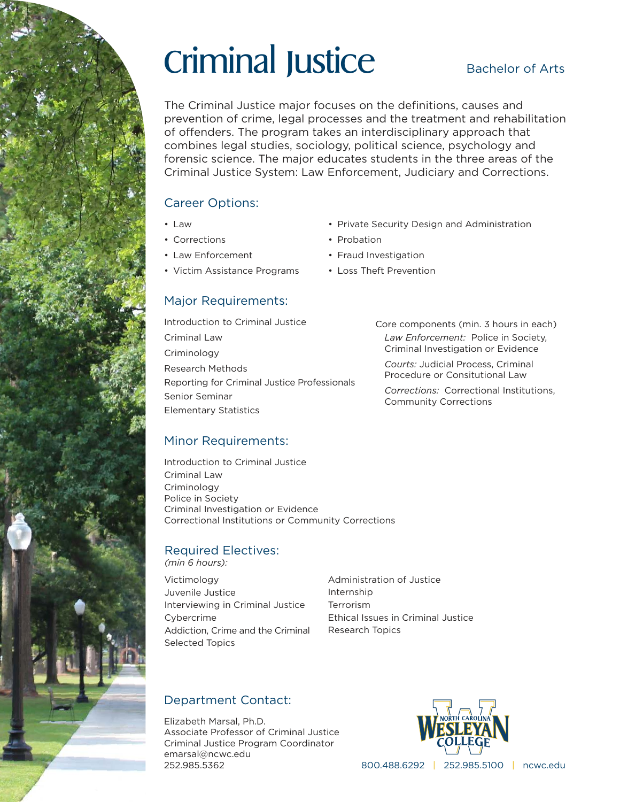# Criminal Justice

### Bachelor of Arts

The Criminal Justice major focuses on the definitions, causes and prevention of crime, legal processes and the treatment and rehabilitation of offenders. The program takes an interdisciplinary approach that combines legal studies, sociology, political science, psychology and forensic science. The major educates students in the three areas of the Criminal Justice System: Law Enforcement, Judiciary and Corrections.

### Career Options:

- Law
- Corrections
- Law Enforcement
- Victim Assistance Programs
- Private Security Design and Administration
- Probation
- Fraud Investigation
- Loss Theft Prevention

### Major Requirements:

Introduction to Criminal Justice Criminal Law **Criminology** Research Methods Reporting for Criminal Justice Professionals Senior Seminar Elementary Statistics

Core components (min. 3 hours in each) *Law Enforcement:* Police in Society, Criminal Investigation or Evidence

*Courts:* Judicial Process, Criminal Procedure or Consitutional Law

*Corrections:* Correctional Institutions, Community Corrections

### Minor Requirements:

Introduction to Criminal Justice Criminal Law Criminology Police in Society Criminal Investigation or Evidence Correctional Institutions or Community Corrections

### Required Electives: *(min 6 hours):*

Victimology Juvenile Justice Interviewing in Criminal Justice Cybercrime Addiction, Crime and the Criminal Selected Topics

Administration of Justice Internship Terrorism Ethical Issues in Criminal Justice Research Topics

### Department Contact:

Elizabeth Marsal, Ph.D. Associate Professor of Criminal Justice Criminal Justice Program Coordinator emarsal@ncwc.edu 252.985.5362



800.488.6292 | 252.985.5100 | ncwc.edu